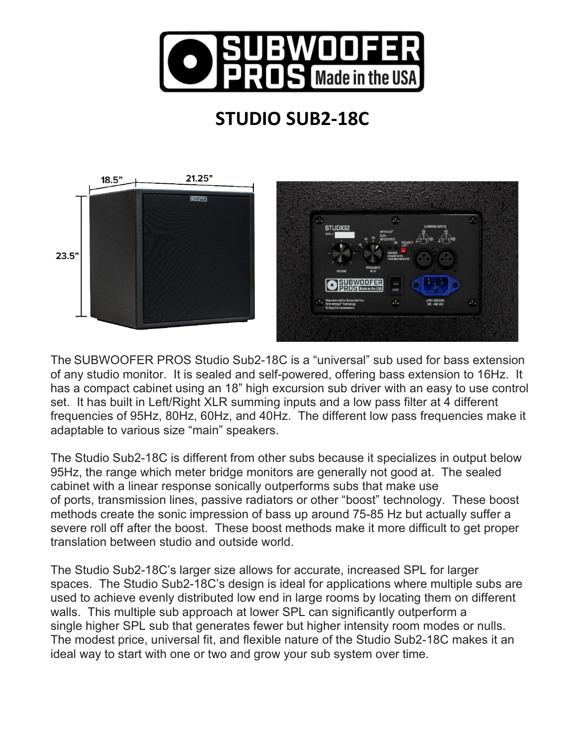

## **STUDIO SUB2-18C**



The SUBWOOFER PROS Studio Sub2-18C is a "universal" sub used for bass extension of any studio monitor. It is sealed and self-powered, offering bass extension to 16Hz. It has a compact cabinet using an 18" high excursion sub driver with an easy to use control set. It has built in Left/Right XLR summing inputs and a low pass filter at 4 different frequencies of 95Hz, 80Hz, 60Hz, and 40Hz. The different low pass frequencies make it adaptable to various size "main" speakers.

The Studio Sub2-18C is different from other subs because it specializes in output below 95Hz, the range which meter bridge monitors are generally not good at. The sealed cabinet with a linear response sonically outperforms subs that make use of ports, transmission lines, passive radiators or other "boost" technology. These boost methods create the sonic impression of bass up around 75-85 Hz but actually suffer a severe roll off after the boost. These boost methods make it more difficult to get proper translation between studio and outside world.

The Studio Sub2-18C's larger size allows for accurate, increased SPL for larger spaces. The Studio Sub2-18C's design is ideal for applications where multiple subs are used to achieve evenly distributed low end in large rooms by locating them on different walls. This multiple sub approach at lower SPL can significantly outperform a single higher SPL sub that generates fewer but higher intensity room modes or nulls. The modest price, universal fit, and flexible nature of the Studio Sub2-18C makes it an ideal way to start with one or two and grow your sub system over time.